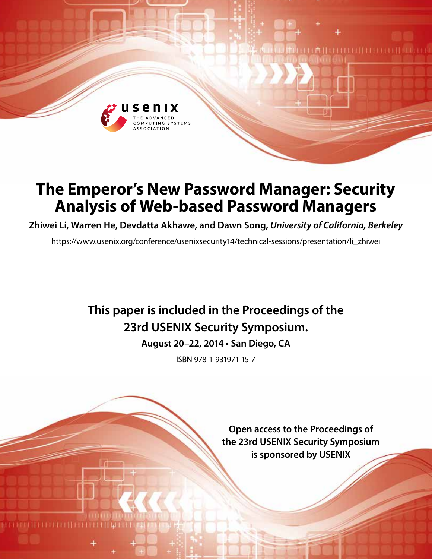

# **The Emperor's New Password Manager: Security Analysis of Web-based Password Managers**

**Zhiwei Li, Warren He, Devdatta Akhawe, and Dawn Song,** *University of California, Berkeley*

https://www.usenix.org/conference/usenixsecurity14/technical-sessions/presentation/li\_zhiwei

## **This paper is included in the Proceedings of the 23rd USENIX Security Symposium.**

**August 20–22, 2014 • San Diego, CA**

ISBN 978-1-931971-15-7

**Open access to the Proceedings of the 23rd USENIX Security Symposium is sponsored by USENIX**

THEILITH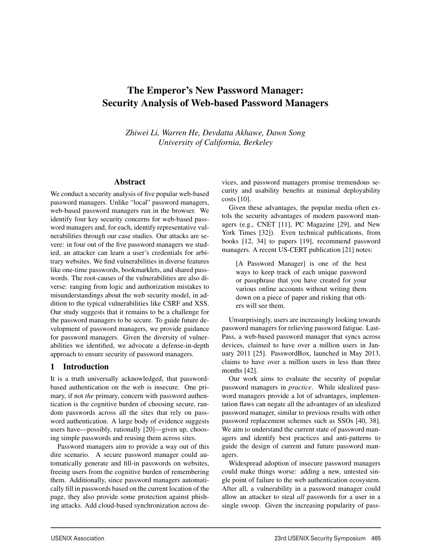## The Emperor's New Password Manager: Security Analysis of Web-based Password Managers

*Zhiwei Li, Warren He, Devdatta Akhawe, Dawn Song University of California, Berkeley*

1

#### Abstract

We conduct a security analysis of five popular web-based password managers. Unlike "local" password managers, web-based password managers run in the browser. We identify four key security concerns for web-based password managers and, for each, identify representative vulnerabilities through our case studies. Our attacks are severe: in four out of the five password managers we studied, an attacker can learn a user's credentials for arbitrary websites. We find vulnerabilities in diverse features like one-time passwords, bookmarklets, and shared passwords. The root-causes of the vulnerabilities are also diverse: ranging from logic and authorization mistakes to misunderstandings about the web security model, in addition to the typical vulnerabilities like CSRF and XSS. Our study suggests that it remains to be a challenge for the password managers to be secure. To guide future development of password managers, we provide guidance for password managers. Given the diversity of vulnerabilities we identified, we advocate a defense-in-depth approach to ensure security of password managers.

### 1 Introduction

It is a truth universally acknowledged, that passwordbased authentication on the web is insecure. One primary, if not *the* primary, concern with password authentication is the cognitive burden of choosing secure, random passwords across all the sites that rely on password authentication. A large body of evidence suggests users have—possibly, rationally [20]—given up, choosing simple passwords and reusing them across sites.

Password managers aim to provide a way out of this dire scenario. A secure password manager could automatically generate and fill-in passwords on websites, freeing users from the cognitive burden of remembering them. Additionally, since password managers automatically fill in passwords based on the current location of the page, they also provide some protection against phishing attacks. Add cloud-based synchronization across devices, and password managers promise tremendous security and usability benefits at minimal deployability costs [10].

Given these advantages, the popular media often extols the security advantages of modern password managers (e.g., CNET [11], PC Magazine [29], and New York Times [32]). Even technical publications, from books [12, 34] to papers [19], recommend password managers. A recent US-CERT publication [21] notes:

[A Password Manager] is one of the best ways to keep track of each unique password or passphrase that you have created for your various online accounts without writing them down on a piece of paper and risking that others will see them.

Unsurprisingly, users are increasingly looking towards password managers for relieving password fatigue. Last-Pass, a web-based password manager that syncs across devices, claimed to have over a million users in January 2011 [25]. PasswordBox, launched in May 2013, claims to have over a million users in less than three months [42].

Our work aims to evaluate the security of popular password managers in *practice*. While idealized password managers provide a lot of advantages, implementation flaws can negate all the advantages of an idealized password manager, similar to previous results with other password replacement schemes such as SSOs [40, 38]. We aim to understand the current state of password managers and identify best practices and anti-patterns to guide the design of current and future password managers.

Widespread adoption of insecure password managers could make things worse: adding a new, untested single point of failure to the web authentication ecosystem. After all, a vulnerability in a password manager could allow an attacker to steal *all* passwords for a user in a single swoop. Given the increasing popularity of pass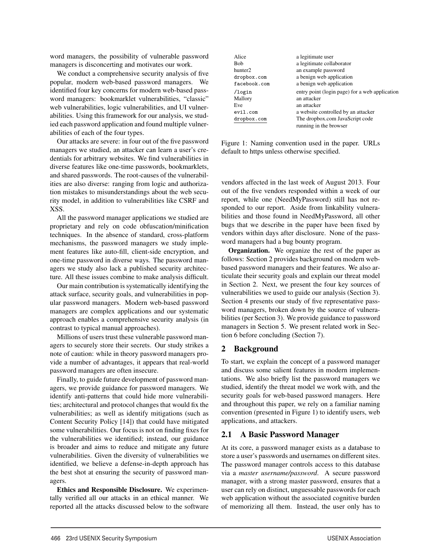word managers, the possibility of vulnerable password managers is disconcerting and motivates our work.

We conduct a comprehensive security analysis of five popular, modern web-based password managers. We identified four key concerns for modern web-based password managers: bookmarklet vulnerabilities, "classic" web vulnerabilities, logic vulnerabilities, and UI vulnerabilities. Using this framework for our analysis, we studied each password application and found multiple vulnerabilities of each of the four types.

Our attacks are severe: in four out of the five password managers we studied, an attacker can learn a user's credentials for arbitrary websites. We find vulnerabilities in diverse features like one-time passwords, bookmarklets, and shared passwords. The root-causes of the vulnerabilities are also diverse: ranging from logic and authorization mistakes to misunderstandings about the web security model, in addition to vulnerabilities like CSRF and XSS.

All the password manager applications we studied are proprietary and rely on code obfuscation/minification techniques. In the absence of standard, cross-platform mechanisms, the password managers we study implement features like auto-fill, client-side encryption, and one-time password in diverse ways. The password managers we study also lack a published security architecture. All these issues combine to make analysis difficult.

Our main contribution is systematically identifying the attack surface, security goals, and vulnerabilities in popular password managers. Modern web-based password managers are complex applications and our systematic approach enables a comprehensive security analysis (in contrast to typical manual approaches).

Millions of users trust these vulnerable password managers to securely store their secrets. Our study strikes a note of caution: while in theory password managers provide a number of advantages, it appears that real-world password managers are often insecure.

Finally, to guide future development of password managers, we provide guidance for password managers. We identify anti-patterns that could hide more vulnerabilities; architectural and protocol changes that would fix the vulnerabilities; as well as identify mitigations (such as Content Security Policy [14]) that could have mitigated some vulnerabilities. Our focus is not on finding fixes for the vulnerabilities we identified; instead, our guidance is broader and aims to reduce and mitigate any future vulnerabilities. Given the diversity of vulnerabilities we identified, we believe a defense-in-depth approach has the best shot at ensuring the security of password managers.

Ethics and Responsible Disclosure. We experimentally verified all our attacks in an ethical manner. We reported all the attacks discussed below to the software

| Alice               | a legitimate user                              |
|---------------------|------------------------------------------------|
| Bob                 | a legitimate collaborator                      |
| hunter <sub>2</sub> | an example password                            |
| dropbox.com         | a benign web application                       |
| facebook.com        | a benign web application                       |
| $\log$ in           | entry point (login page) for a web application |
| Mallory             | an attacker                                    |
| Eve                 | an attacker                                    |
| evil.com            | a website controlled by an attacker            |
| dropbox.com         | The dropbox.com JavaScript code                |
|                     | running in the browser                         |

Figure 1: Naming convention used in the paper. URLs default to https unless otherwise specified.

vendors affected in the last week of August 2013. Four out of the five vendors responded within a week of our report, while one (NeedMyPassword) still has not responded to our report. Aside from linkability vulnerabilities and those found in NeedMyPassword, all other bugs that we describe in the paper have been fixed by vendors within days after disclosure. None of the password managers had a bug bounty program.

**Organization.** We organize the rest of the paper as follows: Section 2 provides background on modern webbased password managers and their features. We also articulate their security goals and explain our threat model in Section 2. Next, we present the four key sources of vulnerabilities we used to guide our analysis (Section 3). Section 4 presents our study of five representative password managers, broken down by the source of vulnerabilities (per Section 3). We provide guidance to password managers in Section 5. We present related work in Section 6 before concluding (Section 7).

### 2 Background

2

To start, we explain the concept of a password manager and discuss some salient features in modern implementations. We also briefly list the password managers we studied, identify the threat model we work with, and the security goals for web-based password managers. Here and throughout this paper, we rely on a familiar naming convention (presented in Figure 1) to identify users, web applications, and attackers.

### 2.1 A Basic Password Manager

At its core, a password manager exists as a database to store a user's passwords and usernames on different sites. The password manager controls access to this database via a *master username/password*. A secure password manager, with a strong master password, ensures that a user can rely on distinct, unguessable passwords for each web application without the associated cognitive burden of memorizing all them. Instead, the user only has to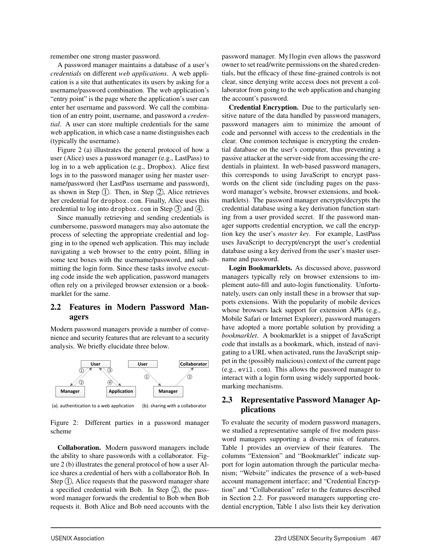remember one strong master password.

A password manager maintains a database of a user's *credentials* on different *web applications*. A web application is a site that authenticates its users by asking for a username/password combination. The web application's "entry point" is the page where the application's user can enter her username and password. We call the combination of an entry point, username, and password a *credential*. A user can store multiple credentials for the same web application, in which case a name distinguishes each (typically the username).

Figure 2 (a) illustrates the general protocol of how a user (Alice) uses a password manager (e.g., LastPass) to log in to a web application (e.g., Dropbox). Alice first logs in to the password manager using her master username/password (her LastPass username and password), as shown in Step  $(1)$ . Then, in Step  $(2)$ , Alice retrieves her credential for dropbox.com. Finally, Alice uses this credential to log into dropbox.com in Step  $(3)$  and  $(4)$ .

Since manually retrieving and sending credentials is cumbersome, password managers may also automate the process of selecting the appropriate credential and logging in to the opened web application. This may include navigating a web browser to the entry point, filling in some text boxes with the username/password, and submitting the login form. Since these tasks involve executing code inside the web application, password managers often rely on a privileged browser extension or a bookmarklet for the same.

### 2.2 Features in Modern Password Managers

Modern password managers provide a number of convenience and security features that are relevant to a security analysis. We briefly elucidate three below.



(a). authentication to a web application (b). sharing with a collaborator

Figure 2: Different parties in a password manager scheme

Collaboration. Modern password managers include the ability to share passwords with a collaborator. Figure 2 (b) illustrates the general protocol of how a user Alice shares a credential of hers with a collaborator Bob. In Step  $(1)$ , Alice requests that the password manager share a specified credential with Bob. In Step  $(2)$ , the password manager forwards the credential to Bob when Bob requests it. Both Alice and Bob need accounts with the

3

password manager. My1login even allows the password owner to set read/write permissions on the shared credentials, but the efficacy of these fine-grained controls is not clear, since denying write access does not prevent a collaborator from going to the web application and changing the account's password.

Credential Encryption. Due to the particularly sensitive nature of the data handled by password managers, password managers aim to minimize the amount of code and personnel with access to the credentials in the clear. One common technique is encrypting the credential database on the user's computer, thus preventing a passive attacker at the server-side from accessing the credentials in plaintext. In web-based password managers, this corresponds to using JavaScript to encrypt passwords on the client side (including pages on the password manager's website, browser extensions, and bookmarklets). The password manager encrypts/decrypts the credential database using a key derivation function starting from a user provided secret. If the password manager supports credential encryption, we call the encryption key the user's *master key*. For example, LastPass uses JavaScript to decrypt/encrypt the user's credential database using a key derived from the user's master username and password.

Login Bookmarklets. As discussed above, password managers typically rely on browser extensions to implement auto-fill and auto-login functionality. Unfortunately, users can only install these in a browser that supports extensions. With the popularity of mobile devices whose browsers lack support for extension APIs (e.g., Mobile Safari or Internet Explorer), password managers have adopted a more portable solution by providing a *bookmarklet*. A bookmarklet is a snippet of JavaScript code that installs as a bookmark, which, instead of navigating to a URL when activated, runs the JavaScript snippet in the (possibly malicious) context of the current page (e.g., evil.com). This allows the password manager to interact with a login form using widely supported bookmarking mechanisms.

### 2.3 Representative Password Manager Applications

To evaluate the security of modern password managers, we studied a representative sample of five modern password managers supporting a diverse mix of features. Table 1 provides an overview of their features. The columns "Extension" and "Bookmarklet" indicate support for login automation through the particular mechanism; "Website" indicates the presence of a web-based account management interface; and "Credential Encryption" and "Collaboration" refer to the features described in Section 2.2. For password managers supporting credential encryption, Table 1 also lists their key derivation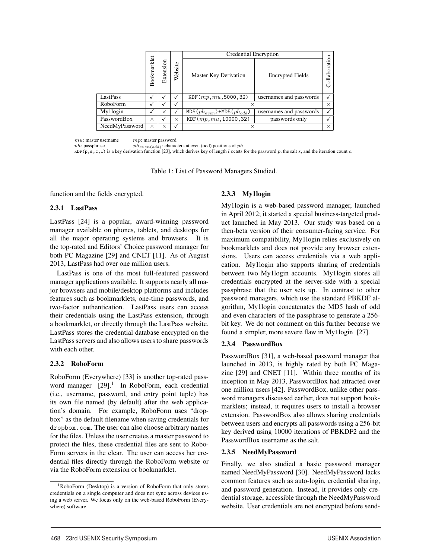|                |             |           |         | Credential Encryption               |                         |               |
|----------------|-------------|-----------|---------|-------------------------------------|-------------------------|---------------|
|                | Bookmarklet | Extension | Website | Master Key Derivation               | <b>Encrypted Fields</b> | Collaboration |
| LastPass       |             |           |         | KDF(mp, mu, 5000, 32)               | usernames and passwords |               |
| RoboForm       |             |           |         | $\times$                            |                         | $\times$      |
| My1login       |             | $\times$  |         | MD5 $(ph_{even})$ +MD5 $(ph_{odd})$ | usernames and passwords |               |
| PasswordBox    | $\times$    |           | X       | KDF(mp, mu, 10000, 32)              | passwords only          |               |
| NeedMyPassword | $\times$    | $\times$  |         |                                     |                         | $\times$      |

*mu*: master username *mp*: master password  $ph:$  passphrase  $ph_{even(odd)}:$  characters at even (odd) positions of  $ph$  $KDF(p, s, c, 1)$  is a key derivation function [23], which derives key of length *l* octets for the password *p*, the salt *s*, and the iteration count *c*.

Table 1: List of Password Managers Studied.

function and the fields encrypted.

#### 2.3.1 LastPass

LastPass [24] is a popular, award-winning password manager available on phones, tablets, and desktops for all the major operating systems and browsers. It is the top-rated and Editors' Choice password manager for both PC Magazine [29] and CNET [11]. As of August 2013, LastPass had over one million users.

LastPass is one of the most full-featured password manager applications available. It supports nearly all major browsers and mobile/desktop platforms and includes features such as bookmarklets, one-time passwords, and two-factor authentication. LastPass users can access their credentials using the LastPass extension, through a bookmarklet, or directly through the LastPass website. LastPass stores the credential database encrypted on the LastPass servers and also allows users to share passwords with each other.

#### 2.3.2 RoboForm

RoboForm (Everywhere) [33] is another top-rated password manager  $[29]$ .<sup>1</sup> In RoboForm, each credential (i.e., username, password, and entry point tuple) has its own file named (by default) after the web application's domain. For example, RoboForm uses "dropbox" as the default filename when saving credentials for dropbox.com. The user can also choose arbitrary names for the files. Unless the user creates a master password to protect the files, these credential files are sent to Robo-Form servers in the clear. The user can access her credential files directly through the RoboForm website or via the RoboForm extension or bookmarklet.

#### 2.3.3 My1login

**1888**<br> **1888**<br> **1888 22 Moor Key Derivante Compact Risks**<br> **1888 22 Moor Key Derivant Association**<br> **1888 22 Moor Key Derivant Association**<br> **1888 22 Moor Key Derivant Association**<br> **1888 22 Moor Key Derivant Association** My1login is a web-based password manager, launched in April 2012; it started a special business-targeted product launched in May 2013. Our study was based on a then-beta version of their consumer-facing service. For maximum compatibility, My1login relies exclusively on bookmarklets and does not provide any browser extensions. Users can access credentials via a web application. My1login also supports sharing of credentials between two My1login accounts. My1login stores all credentials encrypted at the server-side with a special passphrase that the user sets up. In contrast to other password managers, which use the standard PBKDF algorithm, My1login concatenates the MD5 hash of odd and even characters of the passphrase to generate a 256 bit key. We do not comment on this further because we found a simpler, more severe flaw in My1login [27].

#### 2.3.4 PasswordBox

PasswordBox [31], a web-based password manager that launched in 2013, is highly rated by both PC Magazine [29] and CNET [11]. Within three months of its inception in May 2013, PasswordBox had attracted over one million users [42]. PasswordBox, unlike other password managers discussed earlier, does not support bookmarklets; instead, it requires users to install a browser extension. PasswordBox also allows sharing credentials between users and encrypts all passwords using a 256-bit key derived using 10000 iterations of PBKDF2 and the PasswordBox username as the salt.

#### 2.3.5 NeedMyPassword

4

Finally, we also studied a basic password manager named NeedMyPassword [30]. NeedMyPassword lacks common features such as auto-login, credential sharing, and password generation. Instead, it provides only credential storage, accessible through the NeedMyPassword website. User credentials are not encrypted before send-

<sup>1</sup>RoboForm (Desktop) is a version of RoboForm that only stores credentials on a single computer and does not sync across devices using a web server. We focus only on the web-based RoboForm (Everywhere) software.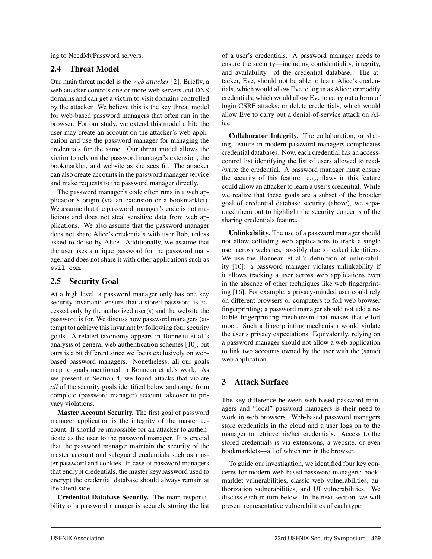ing to NeedMyPassword servers.

## 2.4 Threat Model

Our main threat model is the *web attacker* [2]. Briefly, a web attacker controls one or more web servers and DNS domains and can get a victim to visit domains controlled by the attacker. We believe this is the key threat model for web-based password managers that often run in the browser. For our study, we extend this model a bit: the user may create an account on the attacker's web application and use the password manager for managing the credentials for the same. Our threat model allows the victim to rely on the password manager's extension, the bookmarklet, and website as she sees fit. The attacker can also create accounts in the password manager service and make requests to the password manager directly.

The password manager's code often runs in a web application's origin (via an extension or a bookmarklet). We assume that the password manager's code is not malicious and does not steal sensitive data from web applications. We also assume that the password manager does not share Alice's credentials with user Bob, unless asked to do so by Alice. Additionally, we assume that the user uses a unique password for the password manager and does not share it with other applications such as evil.com.

## 2.5 Security Goal

At a high level, a password manager only has one key security invariant: ensure that a stored password is accessed only by the authorized user(s) and the website the password is for. We discuss how password managers (attempt to) achieve this invariant by following four security goals. A related taxonomy appears in Bonneau et al.'s analysis of general web authentication schemes [10], but ours is a bit different since we focus exclusively on webbased password managers. Nonetheless, all our goals map to goals mentioned in Bonneau et al.'s work. As we present in Section 4, we found attacks that violate *all* of the security goals identified below and range from complete (password manager) account takeover to privacy violations.

Master Account Security. The first goal of password manager application is the integrity of the master account. It should be impossible for an attacker to authenticate as the user to the password manager. It is crucial that the password manager maintain the security of the master account and safeguard credentials such as master password and cookies. In case of password managers that encrypt credentials, the master key/password used to encrypt the credential database should always remain at the client-side.

Credential Database Security. The main responsibility of a password manager is securely storing the list of a user's credentials. A password manager needs to ensure the security—including confidentiality, integrity, and availability—of the credential database. The attacker, Eve, should not be able to learn Alice's credentials, which would allow Eve to log in as Alice; or modify credentials, which would allow Eve to carry out a form of login CSRF attacks; or delete credentials, which would allow Eve to carry out a denial-of-service attack on Alice.

Collaborator Integrity. The collaboration, or sharing, feature in modern password managers complicates credential databases. Now, each credential has an accesscontrol list identifying the list of users allowed to read- /write the credential. A password manager must ensure the security of this feature: e.g., flaws in this feature could allow an attacker to learn a user's credential. While we realize that these goals are a subset of the broader goal of credential database security (above), we separated them out to highlight the security concerns of the sharing credentials feature.

Unlinkability. The use of a password manager should not allow colluding web applications to track a single user across websites, possibly due to leaked identifiers. We use the Bonneau et al.'s definition of unlinkability [10]: a password manager violates unlinkability if it allows tracking a user across web applications even in the absence of other techniques like web fingerprinting [16]. For example, a privacy-minded user could rely on different browsers or computers to foil web browser fingerprinting; a password manager should not add a reliable fingerprinting mechanism that makes that effort moot. Such a fingerprinting mechanism would violate the user's privacy expectations. Equivalently, relying on a password manager should not allow a web application to link two accounts owned by the user with the (same) web application.

## 3 Attack Surface

5

The key difference between web-based password managers and "local" password managers is their need to work in web browsers. Web-based password managers store credentials in the cloud and a user logs on to the manager to retrieve his/her credentials. Access to the stored credentials is via extensions, a website, or even bookmarklets—all of which run in the browser.

To guide our investigation, we identified four key concerns for modern web-based password managers: bookmarklet vulnerabilities, classic web vulnerabilities, authorization vulnerabilities, and UI vulnerabilities. We discuss each in turn below. In the next section, we will present representative vulnerabilities of each type.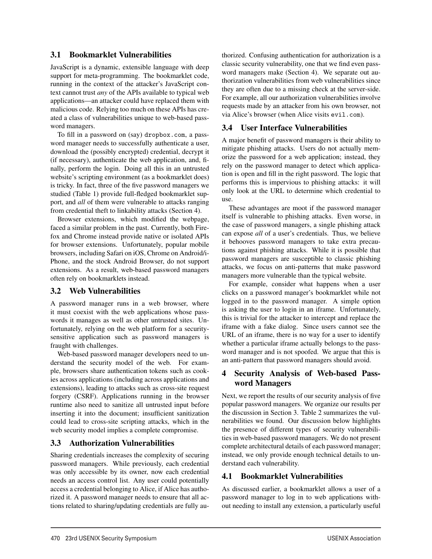## 3.1 Bookmarklet Vulnerabilities

JavaScript is a dynamic, extensible language with deep support for meta-programming. The bookmarklet code, running in the context of the attacker's JavaScript context cannot trust *any* of the APIs available to typical web applications—an attacker could have replaced them with malicious code. Relying too much on these APIs has created a class of vulnerabilities unique to web-based password managers.

To fill in a password on (say) dropbox.com, a password manager needs to successfully authenticate a user, download the (possibly encrypted) credential, decrypt it (if necessary), authenticate the web application, and, finally, perform the login. Doing all this in an untrusted website's scripting environment (as a bookmarklet does) is tricky. In fact, three of the five password managers we studied (Table 1) provide full-fledged bookmarklet support, and *all* of them were vulnerable to attacks ranging from credential theft to linkability attacks (Section 4).

Browser extensions, which modified the webpage, faced a similar problem in the past. Currently, both Firefox and Chrome instead provide native or isolated APIs for browser extensions. Unfortunately, popular mobile browsers, including Safari on iOS, Chrome on Android/i-Phone, and the stock Android Browser, do not support extensions. As a result, web-based password managers often rely on bookmarklets instead.

### 3.2 Web Vulnerabilities

A password manager runs in a web browser, where it must coexist with the web applications whose passwords it manages as well as other untrusted sites. Unfortunately, relying on the web platform for a securitysensitive application such as password managers is fraught with challenges.

Web-based password manager developers need to understand the security model of the web. For example, browsers share authentication tokens such as cookies across applications (including across applications and extensions), leading to attacks such as cross-site request forgery (CSRF). Applications running in the browser runtime also need to sanitize all untrusted input before inserting it into the document; insufficient sanitization could lead to cross-site scripting attacks, which in the web security model implies a complete compromise.

## 3.3 Authorization Vulnerabilities

Sharing credentials increases the complexity of securing password managers. While previously, each credential was only accessible by its owner, now each credential needs an access control list. Any user could potentially access a credential belonging to Alice, if Alice has authorized it. A password manager needs to ensure that all actions related to sharing/updating credentials are fully authorized. Confusing authentication for authorization is a classic security vulnerability, one that we find even password managers make (Section 4). We separate out authorization vulnerabilities from web vulnerabilities since they are often due to a missing check at the server-side. For example, all our authorization vulnerabilities involve requests made by an attacker from his own browser, not via Alice's browser (when Alice visits evil.com).

## 3.4 User Interface Vulnerabilities

A major benefit of password managers is their ability to mitigate phishing attacks. Users do not actually memorize the password for a web application; instead, they rely on the password manager to detect which application is open and fill in the right password. The logic that performs this is impervious to phishing attacks: it will only look at the URL to determine which credential to use.

These advantages are moot if the password manager itself is vulnerable to phishing attacks. Even worse, in the case of password managers, a single phishing attack can expose *all* of a user's credentials. Thus, we believe it behooves password managers to take extra precautions against phishing attacks. While it is possible that password managers are susceptible to classic phishing attacks, we focus on anti-patterns that make password managers more vulnerable than the typical website.

For example, consider what happens when a user clicks on a password manager's bookmarklet while not logged in to the password manager. A simple option is asking the user to login in an iframe. Unfortunately, this is trivial for the attacker to intercept and replace the iframe with a fake dialog. Since users cannot see the URL of an iframe, there is no way for a user to identify whether a particular iframe actually belongs to the password manager and is not spoofed. We argue that this is an anti-pattern that password managers should avoid.

## 4 Security Analysis of Web-based Password Managers

Next, we report the results of our security analysis of five popular password managers. We organize our results per the discussion in Section 3. Table 2 summarizes the vulnerabilities we found. Our discussion below highlights the presence of different types of security vulnerabilities in web-based password managers. We do not present complete architectural details of each password manager; instead, we only provide enough technical details to understand each vulnerability.

## 4.1 Bookmarklet Vulnerabilities

6

As discussed earlier, a bookmarklet allows a user of a password manager to log in to web applications without needing to install any extension, a particularly useful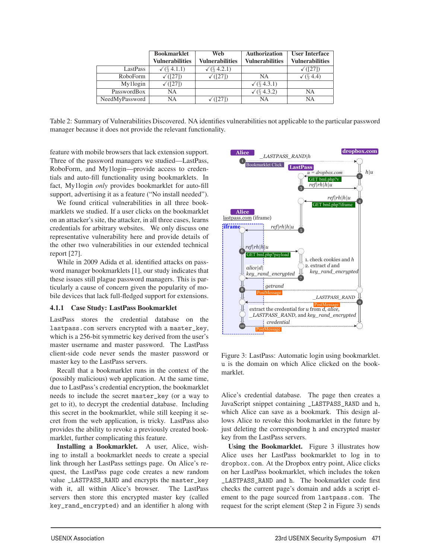|                | <b>Bookmarklet</b>     | Web                    | <b>Authorization</b>   | <b>User Interface</b>  |
|----------------|------------------------|------------------------|------------------------|------------------------|
|                | <b>Vulnerabilities</b> | <b>Vulnerabilities</b> | <b>Vulnerabilities</b> | <b>Vulnerabilities</b> |
| LastPass       | $\sqrt{(84.1.1)}$      | $\sqrt{(64.2.1)}$      |                        | $\sqrt{(27)}$          |
| RoboForm       | $\sqrt{(27)}$          | $\sqrt{(27)}$          | NA                     | $\sqrt{(84.4)}$        |
| My1login       | $\sqrt{(27)}$          |                        | $\sqrt{(84.3.1)}$      |                        |
| PasswordBox    | NA                     |                        | $\sqrt{(}$ 4.3.2)      | NΑ                     |
| NeedMyPassword | NA                     | $\sqrt{(27)}$          | NA                     | NA                     |

Table 2: Summary of Vulnerabilities Discovered. NA identifies vulnerabilities not applicable to the particular password manager because it does not provide the relevant functionality.

7

feature with mobile browsers that lack extension support. Three of the password managers we studied—LastPass, RoboForm, and My1login—provide access to credentials and auto-fill functionality using bookmarklets. In fact, My1login *only* provides bookmarklet for auto-fill support, advertising it as a feature ("No install needed").

We found critical vulnerabilities in all three bookmarklets we studied. If a user clicks on the bookmarklet on an attacker's site, the attacker, in all three cases, learns credentials for arbitrary websites. We only discuss one representative vulnerability here and provide details of the other two vulnerabilities in our extended technical report [27].

While in 2009 Adida et al. identified attacks on password manager bookmarklets [1], our study indicates that these issues still plague password managers. This is particularly a cause of concern given the popularity of mobile devices that lack full-fledged support for extensions.

#### 4.1.1 Case Study: LastPass Bookmarklet

LastPass stores the credential database on the lastpass.com servers encrypted with a master\_key, which is a 256-bit symmetric key derived from the user's master username and master password. The LastPass client-side code never sends the master password or master key to the LastPass servers.

Recall that a bookmarklet runs in the context of the (possibly malicious) web application. At the same time, due to LastPass's credential encryption, the bookmarklet needs to include the secret master\_key (or a way to get to it), to decrypt the credential database. Including this secret in the bookmarklet, while still keeping it secret from the web application, is tricky. LastPass also provides the ability to revoke a previously created bookmarklet, further complicating this feature.

Installing a Bookmarklet. A user, Alice, wishing to install a bookmarklet needs to create a special link through her LastPass settings page. On Alice's request, the LastPass page code creates a new random value \_LASTPASS\_RAND and encrypts the master\_key with it, all within Alice's browser. The LastPass servers then store this encrypted master key (called key\_rand\_encrypted) and an identifier h along with



Figure 3: LastPass: Automatic login using bookmarklet. u is the domain on which Alice clicked on the bookmarklet.

Alice's credential database. The page then creates a JavaScript snippet containing \_LASTPASS\_RAND and h, which Alice can save as a bookmark. This design allows Alice to revoke this bookmarklet in the future by just deleting the corresponding h and encrypted master key from the LastPass servers.

Using the Bookmarklet. Figure 3 illustrates how Alice uses her LastPass bookmarklet to log in to dropbox.com. At the Dropbox entry point, Alice clicks on her LastPass bookmarklet, which includes the token \_LASTPASS\_RAND and h. The bookmarklet code first checks the current page's domain and adds a script element to the page sourced from lastpass.com. The request for the script element (Step 2 in Figure 3) sends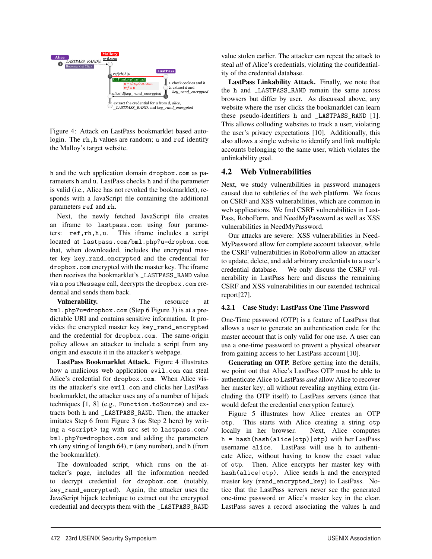

Figure 4: Attack on LastPass bookmarklet based autologin. The rh,h values are random; u and ref identify the Malloy's target website.

h and the web application domain dropbox.com as parameters h and u. LastPass checks h and if the parameter is valid (i.e., Alice has not revoked the bookmarklet), responds with a JavaScript file containing the additional parameters ref and rh.

Next, the newly fetched JavaScript file creates an iframe to lastpass.com using four parameters: ref,rh,h,u. This iframe includes a script located at lastpass.com/bml.php?u=dropbox.com that, when downloaded, includes the encrypted master key key\_rand\_encrypted and the credential for dropbox.com encrypted with the master key. The iframe then receives the bookmarklet's \_LASTPASS\_RAND value via a postMessage call, decrypts the dropbox.com credential and sends them back.

Vulnerability. The resource at bml.php?u=dropbox.com (Step 6 Figure 3) is at a predictable URI and contains sensitive information. It provides the encrypted master key key\_rand\_encrypted and the credential for dropbox.com. The same-origin policy allows an attacker to include a script from any origin and execute it in the attacker's webpage.

LastPass Bookmarklet Attack. Figure 4 illustrates how a malicious web application evil.com can steal Alice's credential for dropbox.com. When Alice visits the attacker's site evil.com and clicks her LastPass bookmarklet, the attacker uses any of a number of hijack techniques [1, 8] (e.g., Function.toSource) and extracts both h and \_LASTPASS\_RAND. Then, the attacker imitates Step 6 from Figure 3 (as Step 2 here) by writing a <script> tag with src set to lastpass.com/ bml.php?u=dropbox.com and adding the parameters  $r$ h (any string of length 64),  $r$  (any number), and h (from the bookmarklet).

The downloaded script, which runs on the attacker's page, includes all the information needed to decrypt credential for dropbox.com (notably, key\_rand\_encrypted). Again, the attacker uses the JavaScript hijack technique to extract out the encrypted credential and decrypts them with the \_LASTPASS\_RAND

8

value stolen earlier. The attacker can repeat the attack to steal *all* of Alice's credentials, violating the confidentiality of the credential database.

LastPass Linkability Attack. Finally, we note that the h and \_LASTPASS\_RAND remain the same across browsers but differ by user. As discussed above, any website where the user clicks the bookmarklet can learn these pseudo-identifiers h and \_LASTPASS\_RAND [1]. This allows colluding websites to track a user, violating the user's privacy expectations [10]. Additionally, this also allows a single website to identify and link multiple accounts belonging to the same user, which violates the unlinkability goal.

### 4.2 Web Vulnerabilities

Next, we study vulnerabilities in password managers caused due to subtleties of the web platform. We focus on CSRF and XSS vulnerabilities, which are common in web applications. We find CSRF vulnerabilities in Last-Pass, RoboForm, and NeedMyPassword as well as XSS vulnerabilities in NeedMyPassword.

Our attacks are severe: XSS vulnerabilities in Need-MyPassword allow for complete account takeover, while the CSRF vulnerabilities in RoboForm allow an attacker to update, delete, and add arbitrary credentials to a user's credential database. We only discuss the CSRF vulnerability in LastPass here and discuss the remaining CSRF and XSS vulnerabilities in our extended technical report[27].

#### 4.2.1 Case Study: LastPass One Time Password

One-Time password (OTP) is a feature of LastPass that allows a user to generate an authentication code for the master account that is only valid for one use. A user can use a one-time password to prevent a physical observer from gaining access to her LastPass account [10].

Generating an OTP. Before getting into the details, we point out that Alice's LastPass OTP must be able to authenticate Alice to LastPass *and* allow Alice to recover her master key; all without revealing anything extra (including the OTP itself) to LastPass servers (since that would defeat the credential encryption feature).

Figure 5 illustrates how Alice creates an OTP otp. This starts with Alice creating a string otp locally in her browser. Next, Alice computes h = hash(hash(alice|otp)|otp) with her LastPass username alice. LastPass will use h to authenticate Alice, without having to know the exact value of otp. Then, Alice encrypts her master key with hash(alice|otp). Alice sends h and the encrypted master key (rand\_encrypted\_key) to LastPass. Notice that the LastPass servers never see the generated one-time password or Alice's master key in the clear. LastPass saves a record associating the values h and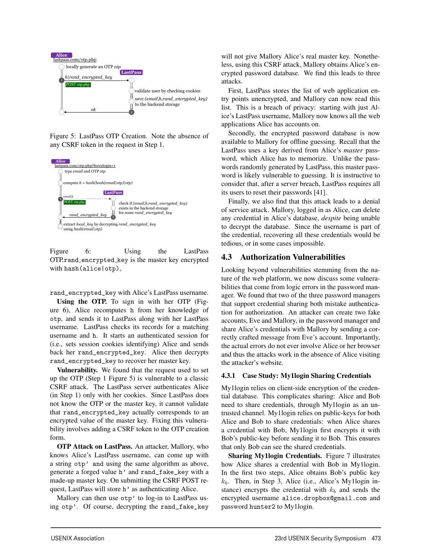

 $\overline{f}$  is  $\overline{f}$  of  $\overline{f}$ Figure 5: LastPass OTP Creation. Note the absence of any CSRF token in the request in Step 1.



Figure 6: Using the LastPass OTP.rand encrypted key is the master key encrypted with hash(alice|otp),

rand\_encrypted\_key with Alice's LastPass username.

Using the OTP. To sign in with her OTP (Figure 6), Alice recomputes h from her knowledge of otp, and sends it to LastPass along with her LastPass username. LastPass checks its records for a matching username and h. It starts an authenticated session for (i.e., sets session cookies identifying) Alice and sends back her rand\_encrypted\_key. Alice then decrypts rand\_encrypted\_key to recover her master key.

Vulnerability. We found that the request used to set up the OTP (Step 1 Figure 5) is vulnerable to a classic CSRF attack. The LastPass server authenticates Alice (in Step 1) only with her cookies. Since LastPass does not know the OTP or the master key, it cannot validate that rand\_encrypted\_key actually corresponds to an encrypted value of the master key. Fixing this vulnerability involves adding a CSRF token to the OTP creation form.

OTP Attack on LastPass. An attacker, Mallory, who knows Alice's LastPass username, can come up with a string otp' and using the same algorithm as above, generate a forged value h' and rand\_fake\_key with a made-up master key. On submitting the CSRF POST request, LastPass will store h' as authenticating Alice.

Mallory can then use otp' to log-in to LastPass using otp'. Of course, decrypting the rand\_fake\_key

9

will not give Mallory Alice's real master key. Nonetheless, using this CSRF attack, Mallory obtains Alice's encrypted password database. We find this leads to three attacks.

First, LastPass stores the list of web application entry points unencrypted, and Mallory can now read this list. This is a breach of privacy: starting with just Alice's LastPass username, Mallory now knows all the web applications Alice has accounts on.

Secondly, the encrypted password database is now available to Mallory for offline guessing. Recall that the LastPass uses a key derived from Alice's *master* password, which Alice has to memorize. Unlike the passwords randomly generated by LastPass, this master password is likely vulnerable to guessing. It is instructive to consider that, after a server breach, LastPass requires all its users to reset their passwords [41].

Finally, we also find that this attack leads to a denial of service attack. Mallory, logged in as Alice, can delete any credential in Alice's database, *despite* being unable to decrypt the database. Since the username is part of the credential, recovering all these credentials would be tedious, or in some cases impossible.

## 4.3 Authorization Vulnerabilities

Looking beyond vulnerabilities stemming from the nature of the web platform, we now discuss some vulnerabilities that come from logic errors in the password manager. We found that two of the three password managers that support credential sharing both mistake authentication for authorization. An attacker can create two fake accounts, Eve and Mallory, in the password manager and share Alice's credentials with Mallory by sending a correctly crafted message from Eve's account. Importantly, the actual errors do not ever involve Alice or her browser and thus the attacks work in the absence of Alice visiting the attacker's website.

#### 4.3.1 Case Study: My1login Sharing Credentials

My1login relies on client-side encryption of the credential database. This complicates sharing: Alice and Bob need to share credentials, through My1login as an untrusted channel. My1login relies on public-keys for both Alice and Bob to share credentials: when Alice shares a credential with Bob, My1login first encrypts it with Bob's public-key before sending it to Bob. This ensures that only Bob can see the shared credentials.

Sharing My1login Credentials. Figure 7 illustrates how Alice shares a credential with Bob in My1login. In the first two steps, Alice obtains Bob's public key *kb*. Then, in Step 3, Alice (i.e., Alice's My1login instance) encrypts the credential with  $k_b$  and sends the encrypted username alice.dropbox@gmail.com and password hunter2 to My1login.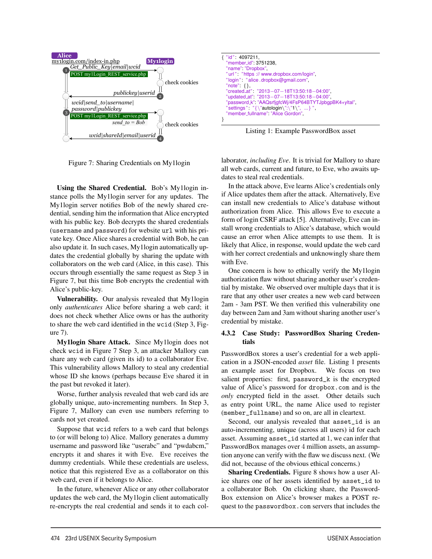

**Bob** Figure 7: Sharing Credentials on My1login

Using the Shared Credential. Bob's My1login instance polls the My1login server for any updates. The My1login server notifies Bob of the newly shared credential, sending him the information that Alice encrypted with his public key. Bob decrypts the shared credentials (username and password) for website url with his private key. Once Alice shares a credential with Bob, he can also update it. In such cases, My1login automatically updates the credential globally by sharing the update with collaborators on the web card (Alice, in this case). This occurs through essentially the same request as Step 3 in Figure 7, but this time Bob encrypts the credential with Alice's public-key.

Vulnerability. Our analysis revealed that My1login only *authenticates* Alice before sharing a web card; it does not check whether Alice owns or has the authority to share the web card identified in the wcid (Step 3, Figure 7).

My1login Share Attack. Since My1login does not check wcid in Figure 7 Step 3, an attacker Mallory can share any web card (given its id) to a collaborator Eve. This vulnerability allows Mallory to steal any credential whose ID she knows (perhaps because Eve shared it in the past but revoked it later).

Worse, further analysis revealed that web card ids are globally unique, auto-incrementing numbers. In Step 3, Figure 7, Mallory can even use numbers referring to cards not yet created.

Suppose that wcid refers to a web card that belongs to (or will belong to) Alice. Mallory generates a dummy username and password like "userabc" and "pwdabcm," encrypts it and shares it with Eve. Eve receives the dummy credentials. While these credentials are useless, notice that this registered Eve as a collaborator on this web card, even if it belongs to Alice.

In the future, whenever Alice or any other collaborator updates the web card, the My1login client automatically re-encrypts the real credential and sends it to each col-

10



Listing 1: Example PasswordBox asset

laborator, *including Eve*. It is trivial for Mallory to share all web cards, current and future, to Eve, who awaits updates to steal real credentials.

In the attack above, Eve learns Alice's credentials only if Alice updates them after the attack. Alternatively, Eve can install new credentials to Alice's database without authorization from Alice. This allows Eve to execute a form of login CSRF attack [5]. Alternatively, Eve can install wrong credentials to Alice's database, which would cause an error when Alice attempts to use them. It is likely that Alice, in response, would update the web card with her correct credentials and unknowingly share them with Eve.

One concern is how to ethically verify the My1login authorization flaw without sharing another user's credential by mistake. We observed over multiple days that it is rare that any other user creates a new web card between 2am - 3am PST. We then verified this vulnerability one day between 2am and 3am without sharing another user's credential by mistake.

#### 4.3.2 Case Study: PasswordBox Sharing Credentials

PasswordBox stores a user's credential for a web application in a JSON-encoded *asset* file. Listing 1 presents an example asset for Dropbox. We focus on two salient properties: first, password\_k is the encrypted value of Alice's password for dropbox.com and is the *only* encrypted field in the asset. Other details such as entry point URL, the name Alice used to register (member\_fullname) and so on, are all in cleartext.

Second, our analysis revealed that asset\_id is an auto-incrementing, unique (across all users) id for each asset. Assuming asset\_id started at 1, we can infer that PasswordBox manages over 4 million assets, an assumption anyone can verify with the flaw we discuss next. (We did not, because of the obvious ethical concerns.)

Sharing Credentials. Figure 8 shows how a user Alice shares one of her assets identified by asset\_id to a collaborator Bob. On clicking share, the Password-Box extension on Alice's browser makes a POST request to the passwordbox.com servers that includes the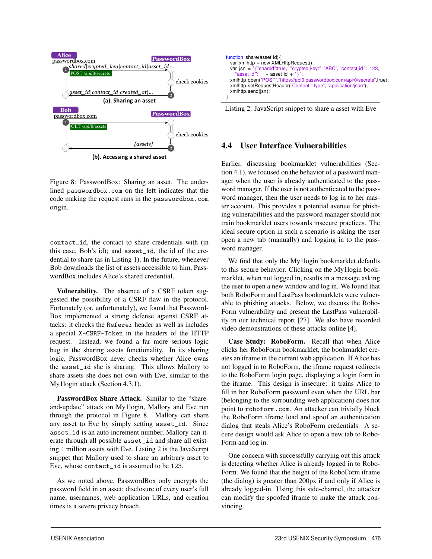

**(b). Accessing a shared asset**

Figure 8: PasswordBox: Sharing an asset. The underlined passwordbox.com on the left indicates that the code making the request runs in the passwordbox.com origin.

contact\_id, the contact to share credentials with (in this case, Bob's id); and asset\_id, the id of the credential to share (as in Listing 1). In the future, whenever Bob downloads the list of assets accessible to him, PasswordBox includes Alice's shared credential.

Vulnerability. The absence of a CSRF token suggested the possibility of a CSRF flaw in the protocol. Fortunately (or, unfortunately), we found that Password-Box implemented a strong defense against CSRF attacks: it checks the Referer header as well as includes a special X-CSRF-Token in the headers of the HTTP request. Instead, we found a far more serious logic bug in the sharing assets functionality. In its sharing logic, PasswordBox never checks whether Alice owns the asset\_id she is sharing. This allows Mallory to share assets she does not own with Eve, similar to the My1login attack (Section 4.3.1).

PasswordBox Share Attack. Similar to the "shareand-update" attack on My1login, Mallory and Eve run through the protocol in Figure 8. Mallory can share any asset to Eve by simply setting asset\_id. Since asset\_id is an auto increment number, Mallory can iterate through all possible asset\_id and share all existing 4 million assets with Eve. Listing 2 is the JavaScript snippet that Mallory used to share an arbitrary asset to Eve, whose contact\_id is assumed to be 123.

As we noted above, PasswordBox only encrypts the password field in an asset; disclosure of every user's full name, usernames, web application URLs, and creation times is a severe privacy breach.

11



Listing 2: JavaScript snippet to share a asset with Eve

## 4.4 User Interface Vulnerabilities

Earlier, discussing bookmarklet vulnerabilities (Section 4.1), we focused on the behavior of a password manager when the user is already authenticated to the password manager. If the user is not authenticated to the password manager, then the user needs to log in to her master account. This provides a potential avenue for phishing vulnerabilities and the password manager should not train bookmarklet users towards insecure practices. The ideal secure option in such a scenario is asking the user open a new tab (manually) and logging in to the password manager.

We find that only the My1login bookmarklet defaults to this secure behavior. Clicking on the My1login bookmarklet, when not logged in, results in a message asking the user to open a new window and log in. We found that both RoboForm and LastPass bookmarklets were vulnerable to phishing attacks. Below, we discuss the Robo-Form vulnerability and present the LastPass vulnerability in our technical report [27]. We also have recorded video demonstrations of these attacks online [4].

Case Study: RoboForm. Recall that when Alice clicks her RoboForm bookmarklet, the bookmarklet creates an iframe in the current web application. If Alice has not logged in to RoboForm, the iframe request redirects to the RoboForm login page, displaying a login form in the iframe. This design is insecure: it trains Alice to fill in her RoboForm password even when the URL bar (belonging to the surrounding web application) does not point to roboform.com. An attacker can trivially block the RoboForm iframe load and spoof an authentication dialog that steals Alice's RoboForm credentials. A secure design would ask Alice to open a new tab to Robo-Form and log in.

One concern with successfully carrying out this attack is detecting whether Alice is already logged in to Robo-Form. We found that the height of the RoboForm iframe (the dialog) is greater than 200px if and only if Alice is already logged-in. Using this side-channel, the attacker can modify the spoofed iframe to make the attack convincing.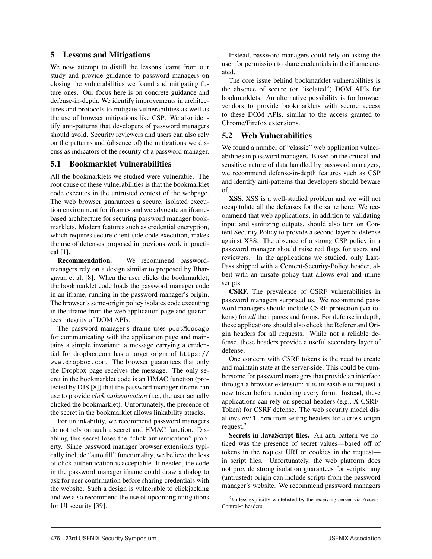#### 5 Lessons and Mitigations

We now attempt to distill the lessons learnt from our study and provide guidance to password managers on closing the vulnerabilities we found and mitigating future ones. Our focus here is on concrete guidance and defense-in-depth. We identify improvements in architectures and protocols to mitigate vulnerabilities as well as the use of browser mitigations like CSP. We also identify anti-patterns that developers of password managers should avoid. Security reviewers and users can also rely on the patterns and (absence of) the mitigations we discuss as indicators of the security of a password manager.

### 5.1 Bookmarklet Vulnerabilities

All the bookmarklets we studied were vulnerable. The root cause of these vulnerabilities is that the bookmarklet code executes in the untrusted context of the webpage. The web browser guarantees a secure, isolated execution environment for iframes and we advocate an iframebased architecture for securing password manager bookmarklets. Modern features such as credential encryption, which requires secure client-side code execution, makes the use of defenses proposed in previous work impractical [1].

Recommendation. We recommend passwordmanagers rely on a design similar to proposed by Bhargavan et al. [8]. When the user clicks the bookmarklet, the bookmarklet code loads the password manager code in an iframe, running in the password manager's origin. The browser's same-origin policy isolates code executing in the iframe from the web application page and guarantees integrity of DOM APIs.

The password manager's iframe uses postMessage for communicating with the application page and maintains a simple invariant: a message carrying a credential for dropbox.com has a target origin of https:// www.dropbox.com. The browser guarantees that only the Dropbox page receives the message. The only secret in the bookmarklet code is an HMAC function (protected by DJS [8]) that the password manager iframe can use to provide *click authentication* (i.e., the user actually clicked the bookmarklet). Unfortunately, the presence of the secret in the bookmarklet allows linkability attacks.

For unlinkability, we recommend password managers do not rely on such a secret and HMAC function. Disabling this secret loses the "click authentication" property. Since password manager browser extensions typically include "auto fill" functionality, we believe the loss of click authentication is acceptable. If needed, the code in the password manager iframe could draw a dialog to ask for user confirmation before sharing credentials with the website. Such a design is vulnerable to clickjacking and we also recommend the use of upcoming mitigations for UI security [39].

Instead, password managers could rely on asking the user for permission to share credentials in the iframe created.

The core issue behind bookmarklet vulnerabilities is the absence of secure (or "isolated") DOM APIs for bookmarklets. An alternative possibility is for browser vendors to provide bookmarklets with secure access to these DOM APIs, similar to the access granted to Chrome/Firefox extensions.

#### 5.2 Web Vulnerabilities

We found a number of "classic" web application vulnerabilities in password managers. Based on the critical and sensitive nature of data handled by password managers, we recommend defense-in-depth features such as CSP and identify anti-patterns that developers should beware of.

XSS. XSS is a well-studied problem and we will not recapitulate all the defenses for the same here. We recommend that web applications, in addition to validating input and sanitizing outputs, should also turn on Content Security Policy to provide a second layer of defense against XSS. The absence of a strong CSP policy in a password manager should raise red flags for users and reviewers. In the applications we studied, only Last-Pass shipped with a Content-Security-Policy header, albeit with an unsafe policy that allows eval and inline scripts.

CSRF. The prevalence of CSRF vulnerabilities in password managers surprised us. We recommend password managers should include CSRF protection (via tokens) for *all* their pages and forms. For defense in depth, these applications should also check the Referer and Origin headers for all requests. While not a reliable defense, these headers provide a useful secondary layer of defense.

One concern with CSRF tokens is the need to create and maintain state at the server-side. This could be cumbersome for password managers that provide an interface through a browser extension: it is infeasible to request a new token before rendering every form. Instead, these applications can rely on special headers (e.g., X-CSRF-Token) for CSRF defense. The web security model disallows evil.com from setting headers for a cross-origin request.<sup>2</sup>

Secrets in JavaScript files. An anti-pattern we noticed was the presence of secret values—based off of tokens in the request URI or cookies in the request in script files. Unfortunately, the web platform does not provide strong isolation guarantees for scripts: any (untrusted) origin can include scripts from the password manager's website. We recommend password managers

12

<sup>2</sup>Unless explicitly whitelisted by the receiving server via Access-Control-\* headers.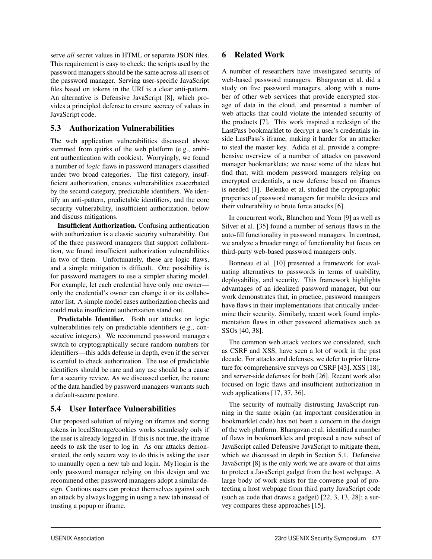serve *all* secret values in HTML or separate JSON files. This requirement is easy to check: the scripts used by the password managers should be the same across all users of the password manager. Serving user-specific JavaScript files based on tokens in the URI is a clear anti-pattern. An alternative is Defensive JavaScript [8], which provides a principled defense to ensure secrecy of values in JavaScript code.

## 5.3 Authorization Vulnerabilities

The web application vulnerabilities discussed above stemmed from quirks of the web platform (e.g., ambient authentication with cookies). Worryingly, we found a number of *logic* flaws in password managers classified under two broad categories. The first category, insufficient authorization, creates vulnerabilities exacerbated by the second category, predictable identifiers. We identify an anti-pattern, predictable identifiers, and the core security vulnerability, insufficient authorization, below and discuss mitigations.

Insufficient Authorization. Confusing authentication with authorization is a classic security vulnerability. Out of the three password managers that support collaboration, we found insufficient authorization vulnerabilities in two of them. Unfortunately, these are logic flaws, and a simple mitigation is difficult. One possibility is for password managers to use a simpler sharing model. For example, let each credential have only one owner only the credential's owner can change it or its collaborator list. A simple model eases authorization checks and could make insufficient authorization stand out.

Predictable Identifier. Both our attacks on logic vulnerabilities rely on predictable identifiers (e.g., consecutive integers). We recommend password managers switch to cryptographically secure random numbers for identifiers—this adds defense in depth, even if the server is careful to check authorization. The use of predictable identifiers should be rare and any use should be a cause for a security review. As we discussed earlier, the nature of the data handled by password managers warrants such a default-secure posture.

## 5.4 User Interface Vulnerabilities

Our proposed solution of relying on iframes and storing tokens in localStorage/cookies works seamlessly only if the user is already logged in. If this is not true, the iframe needs to ask the user to log in. As our attacks demonstrated, the only secure way to do this is asking the user to manually open a new tab and login. My1login is the only password manager relying on this design and we recommend other password managers adopt a similar design. Cautious users can protect themselves against such an attack by always logging in using a new tab instead of trusting a popup or iframe.

13

### 6 Related Work

A number of researchers have investigated security of web-based password managers. Bhargavan et al. did a study on five password managers, along with a number of other web services that provide encrypted storage of data in the cloud, and presented a number of web attacks that could violate the intended security of the products [7]. This work inspired a redesign of the LastPass bookmarklet to decrypt a user's credentials inside LastPass's iframe, making it harder for an attacker to steal the master key. Adida et al. provide a comprehensive overview of a number of attacks on password manager bookmarklets; we reuse some of the ideas but find that, with modern password managers relying on encrypted credentials, a new defense based on iframes is needed [1]. Belenko et al. studied the cryptographic properties of password managers for mobile devices and their vulnerability to brute force attacks [6].

In concurrent work, Blanchou and Youn [9] as well as Silver et al. [35] found a number of serious flaws in the auto-fill functionality in password managers. In contrast, we analyze a broader range of functionality but focus on third-party web-based password managers only.

Bonneau et al. [10] presented a framework for evaluating alternatives to passwords in terms of usability, deployability, and security. This framework highlights advantages of an idealized password manager, but our work demonstrates that, in practice, password managers have flaws in their implementations that critically undermine their security. Similarly, recent work found implementation flaws in other password alternatives such as SSOs [40, 38].

The common web attack vectors we considered, such as CSRF and XSS, have seen a lot of work in the past decade. For attacks and defenses, we defer to prior literature for comprehensive surveys on CSRF [43], XSS [18], and server-side defenses for both [26]. Recent work also focused on logic flaws and insufficient authorization in web applications [17, 37, 36].

The security of mutually distrusting JavaScript running in the same origin (an important consideration in bookmarklet code) has not been a concern in the design of the web platform. Bhargavan et al. identified a number of flaws in bookmarklets and proposed a new subset of JavaScript called Defensive JavaScript to mitigate them, which we discussed in depth in Section 5.1. Defensive JavaScript [8] is the only work we are aware of that aims to protect a JavaScript gadget from the host webpage. A large body of work exists for the converse goal of protecting a host webpage from third party JavaScript code (such as code that draws a gadget) [22, 3, 13, 28]; a survey compares these approaches [15].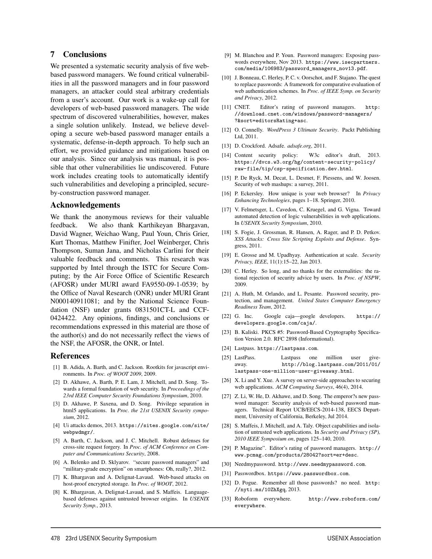#### 7 Conclusions

We presented a systematic security analysis of five webbased password managers. We found critical vulnerabilities in all the password managers and in four password managers, an attacker could steal arbitrary credentials from a user's account. Our work is a wake-up call for developers of web-based password managers. The wide spectrum of discovered vulnerabilities, however, makes a single solution unlikely. Instead, we believe developing a secure web-based password manager entails a systematic, defense-in-depth approach. To help such an effort, we provided guidance and mitigations based on our analysis. Since our analysis was manual, it is possible that other vulnerabilities lie undiscovered. Future work includes creating tools to automatically identify such vulnerabilities and developing a principled, secureby-construction password manager.

#### Acknowledgements

We thank the anonymous reviews for their valuable feedback. We also thank Karthikeyan Bhargavan, David Wagner, Weichao Wang, Paul Youn, Chris Grier, Kurt Thomas, Matthew Finifter, Joel Weinberger, Chris Thompson, Suman Jana, and Nicholas Carlini for their valuable feedback and comments. This research was supported by Intel through the ISTC for Secure Computing; by the Air Force Office of Scientific Research (AFOSR) under MURI award FA9550-09-1-0539; by the Office of Naval Research (ONR) under MURI Grant N000140911081; and by the National Science Foundation (NSF) under grants 0831501CT-L and CCF-0424422. Any opinions, findings, and conclusions or recommendations expressed in this material are those of the author(s) and do not necessarily reflect the views of the NSF, the AFOSR, the ONR, or Intel.

#### References

- [1] B. Adida, A. Barth, and C. Jackson. Rootkits for javascript environments. In *Proc. of WOOT 2009*, 2009.
- [2] D. Akhawe, A. Barth, P. E. Lam, J. Mitchell, and D. Song. Towards a formal foundation of web security. In *Proceedings of the 23rd IEEE Computer Security Foundations Symposium*, 2010.
- [3] D. Akhawe, P. Saxena, and D. Song. Privilege separation in html5 applications. In *Proc. the 21st USENIX Security symposium*, 2012.
- [4] Ui attacks demos, 2013. https://sites.google.com/site/ webpwdmgr/.
- [5] A. Barth, C. Jackson, and J. C. Mitchell. Robust defenses for cross-site request forgery. In *Proc. of ACM Conference on Computer and Communications Security*, 2008.
- [6] A. Belenko and D. Sklyarov. "secure password managers" and "military-grade encryption" on smartphones: Oh, really?, 2012.
- [7] K. Bhargavan and A. Delignat-Lavaud. Web-based attacks on host-proof encrypted storage. In *Proc. of WOOT*, 2012.
- [8] K. Bhargavan, A. Delignat-Lavaud, and S. Maffeis. Languagebased defenses against untrusted browser origins. In *USENIX Security Symp.*, 2013.
- [9] M. Blanchou and P. Youn. Password managers: Exposing passwords everywhere, Nov 2013. https://www.isecpartners. com/media/106983/password\_managers\_nov13.pdf.
- [10] J. Bonneau, C. Herley, P. C. v. Oorschot, and F. Stajano. The quest to replace passwords: A framework for comparative evaluation of web authentication schemes. In *Proc. of IEEE Symp. on Security and Privacy*, 2012.
- [11] CNET. Editor's rating of password managers. http: //download.cnet.com/windows/password-managers/ ?&sort=editorsRating+asc.
- [12] O. Connelly. *WordPress 3 Ultimate Security*. Packt Publishing Ltd, 2011.
- [13] D. Crockford. Adsafe. *adsafe.org*, 2011.
- [14] Content security policy: W3c editor's draft, 2013. https://dvcs.w3.org/hg/content-security-policy/ raw-file/tip/csp-specification.dev.html.
- [15] P. De Ryck, M. Decat, L. Desmet, F. Piessens, and W. Joosen. Security of web mashups: a survey, 2011.
- [16] P. Eckersley. How unique is your web browser? In *Privacy Enhancing Technologies*, pages 1–18. Springer, 2010.
- [17] V. Felmetsger, L. Cavedon, C. Kruegel, and G. Vigna. Toward automated detection of logic vulnerabilities in web applications. In *USENIX Security Symposium*, 2010.
- [18] S. Fogie, J. Grossman, R. Hansen, A. Rager, and P. D. Petkov. *XSS Attacks: Cross Site Scripting Exploits and Defense*. Syngress, 2011.
- [19] E. Grosse and M. Upadhyay. Authentication at scale. *Security Privacy, IEEE*, 11(1):15–22, Jan 2013.
- [20] C. Herley. So long, and no thanks for the externalities: the rational rejection of security advice by users. In *Proc. of NSPW*, 2009.
- [21] A. Huth, M. Orlando, and L. Pesante. Password security, protection, and management. *United States Computer Emergency Readiness Team*, 2012.
- [22] G. Inc. Google caja—google developers. https:// developers.google.com/caja/.
- [23] B. Kaliski. PKCS #5: Password-Based Cryptography Specification Version 2.0. RFC 2898 (Informational).
- [24] Lastpass. https://lastpass.com.
- [25] LastPass. Lastpass one million user giveaway. http://blog.lastpass.com/2011/01/ lastpass-one-million-user-giveaway.html.
- [26] X. Li and Y. Xue. A survey on server-side approaches to securing web applications. *ACM Computing Surveys*, 46(4), 2014.
- [27] Z. Li, W. He, D. Akhawe, and D. Song. The emperor?s new password manager: Security analysis of web-based password managers. Technical Report UCB/EECS-2014-138, EECS Department, University of California, Berkeley, Jul 2014.
- [28] S. Maffeis, J. Mitchell, and A. Taly. Object capabilities and isolation of untrusted web applications. In *Security and Privacy (SP), 2010 IEEE Symposium on*, pages 125–140, 2010.
- [29] P. Magazine". Editor's rating of password managers. http:// www.pcmag.com/products/28042?sort=er+desc.
- [30] Needmypassword. http://www.needmypassword.com.
- [31] Passwordbox. https://www.passwordbox.com.

14

- [32] D. Pogue. Remember all those passwords? no need. http: //nyti.ms/10ZhXgq, 2013.
- [33] Roboform everywhere. http://www.roboform.com/ everywhere.